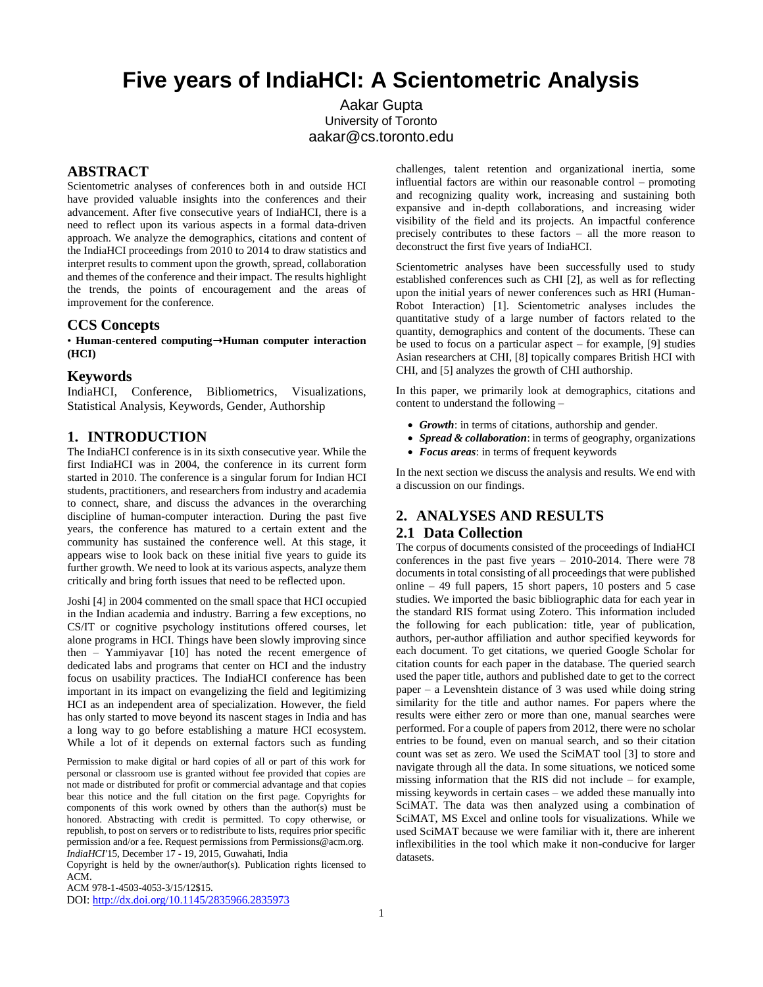# **Five years of IndiaHCI: A Scientometric Analysis**

Aakar Gupta University of Toronto aakar@cs.toronto.edu

## **ABSTRACT**

Scientometric analyses of conferences both in and outside HCI have provided valuable insights into the conferences and their advancement. After five consecutive years of IndiaHCI, there is a need to reflect upon its various aspects in a formal data-driven approach. We analyze the demographics, citations and content of the IndiaHCI proceedings from 2010 to 2014 to draw statistics and interpret results to comment upon the growth, spread, collaboration and themes of the conference and their impact. The results highlight the trends, the points of encouragement and the areas of improvement for the conference.

#### **CCS Concepts**

• **Human-centered computing**➝**Human computer interaction (HCI)**

## **Keywords**

IndiaHCI, Conference, Bibliometrics, Visualizations, Statistical Analysis, Keywords, Gender, Authorship

### **1. INTRODUCTION**

The IndiaHCI conference is in its sixth consecutive year. While the first IndiaHCI was in 2004, the conference in its current form started in 2010. The conference is a singular forum for Indian HCI students, practitioners, and researchers from industry and academia to connect, share, and discuss the advances in the overarching discipline of human-computer interaction. During the past five years, the conference has matured to a certain extent and the community has sustained the conference well. At this stage, it appears wise to look back on these initial five years to guide its further growth. We need to look at its various aspects, analyze them critically and bring forth issues that need to be reflected upon.

Joshi [4] in 2004 commented on the small space that HCI occupied in the Indian academia and industry. Barring a few exceptions, no CS/IT or cognitive psychology institutions offered courses, let alone programs in HCI. Things have been slowly improving since then – Yammiyavar [10] has noted the recent emergence of dedicated labs and programs that center on HCI and the industry focus on usability practices. The IndiaHCI conference has been important in its impact on evangelizing the field and legitimizing HCI as an independent area of specialization. However, the field has only started to move beyond its nascent stages in India and has a long way to go before establishing a mature HCI ecosystem. While a lot of it depends on external factors such as funding

Permission to make digital or hard copies of all or part of this work for personal or classroom use is granted without fee provided that copies are not made or distributed for profit or commercial advantage and that copies bear this notice and the full citation on the first page. Copyrights for components of this work owned by others than the author(s) must be honored. Abstracting with credit is permitted. To copy otherwise, or republish, to post on servers or to redistribute to lists, requires prior specific permission and/or a fee. Request permissions from Permissions@acm.org. *IndiaHCI'*15, December 17 - 19, 2015, Guwahati, India

Copyright is held by the owner/author(s). Publication rights licensed to ACM.

ACM 978-1-4503-4053-3/15/12\$15.

DOI: <http://dx.doi.org/10.1145/2835966.2835973>

challenges, talent retention and organizational inertia, some influential factors are within our reasonable control – promoting and recognizing quality work, increasing and sustaining both expansive and in-depth collaborations, and increasing wider visibility of the field and its projects. An impactful conference precisely contributes to these factors – all the more reason to deconstruct the first five years of IndiaHCI.

Scientometric analyses have been successfully used to study established conferences such as CHI [2], as well as for reflecting upon the initial years of newer conferences such as HRI (Human-Robot Interaction) [1]. Scientometric analyses includes the quantitative study of a large number of factors related to the quantity, demographics and content of the documents. These can be used to focus on a particular aspect – for example, [9] studies Asian researchers at CHI, [8] topically compares British HCI with CHI, and [5] analyzes the growth of CHI authorship.

In this paper, we primarily look at demographics, citations and content to understand the following –

- *Growth*: in terms of citations, authorship and gender.
- *Spread & collaboration*: in terms of geography, organizations
- *Focus areas*: in terms of frequent keywords

In the next section we discuss the analysis and results. We end with a discussion on our findings.

## **2. ANALYSES AND RESULTS**

## **2.1 Data Collection**

The corpus of documents consisted of the proceedings of IndiaHCI conferences in the past five years – 2010-2014. There were 78 documents in total consisting of all proceedings that were published online – 49 full papers, 15 short papers, 10 posters and 5 case studies. We imported the basic bibliographic data for each year in the standard RIS format using Zotero. This information included the following for each publication: title, year of publication, authors, per-author affiliation and author specified keywords for each document. To get citations, we queried Google Scholar for citation counts for each paper in the database. The queried search used the paper title, authors and published date to get to the correct paper – a Levenshtein distance of 3 was used while doing string similarity for the title and author names. For papers where the results were either zero or more than one, manual searches were performed. For a couple of papers from 2012, there were no scholar entries to be found, even on manual search, and so their citation count was set as zero. We used the SciMAT tool [3] to store and navigate through all the data. In some situations, we noticed some missing information that the RIS did not include – for example, missing keywords in certain cases – we added these manually into SciMAT. The data was then analyzed using a combination of SciMAT, MS Excel and online tools for visualizations. While we used SciMAT because we were familiar with it, there are inherent inflexibilities in the tool which make it non-conducive for larger datasets.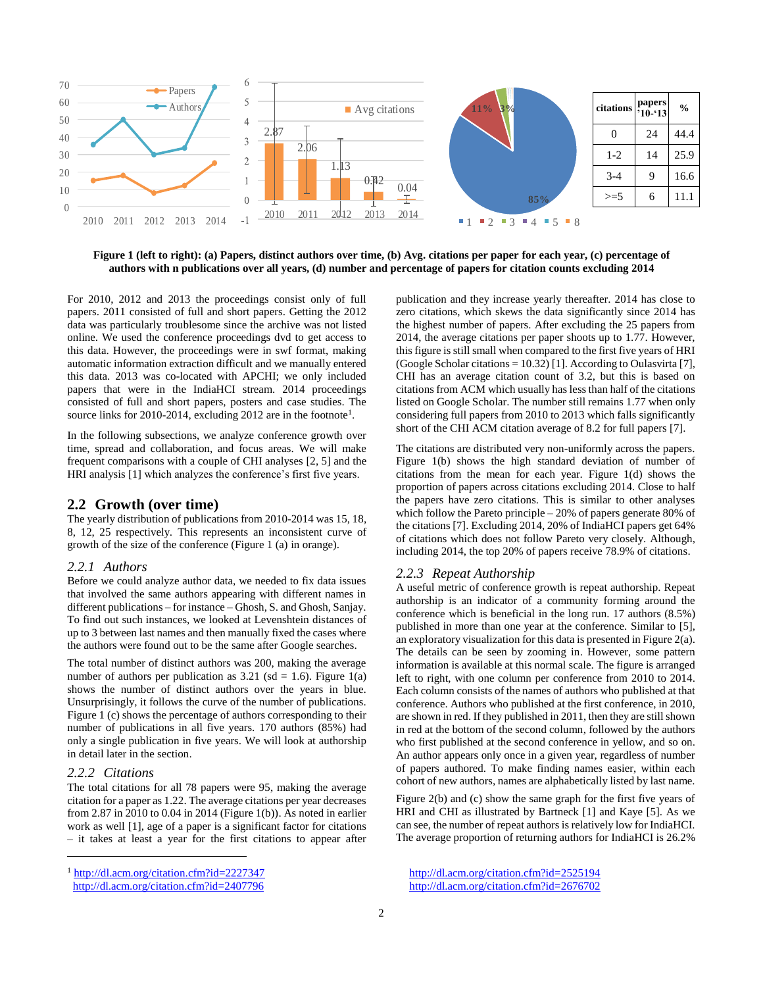

**Figure 1 (left to right): (a) Papers, distinct authors over time, (b) Avg. citations per paper for each year, (c) percentage of authors with n publications over all years, (d) number and percentage of papers for citation counts excluding 2014**

For 2010, 2012 and 2013 the proceedings consist only of full papers. 2011 consisted of full and short papers. Getting the 2012 data was particularly troublesome since the archive was not listed online. We used the conference proceedings dvd to get access to this data. However, the proceedings were in swf format, making automatic information extraction difficult and we manually entered this data. 2013 was co-located with APCHI; we only included papers that were in the IndiaHCI stream. 2014 proceedings consisted of full and short papers, posters and case studies. The source links for 2010-2014, excluding  $2012$  are in the footnote<sup>1</sup>.

In the following subsections, we analyze conference growth over time, spread and collaboration, and focus areas. We will make frequent comparisons with a couple of CHI analyses [2, 5] and the HRI analysis [1] which analyzes the conference's first five years.

## **2.2 Growth (over time)**

The yearly distribution of publications from 2010-2014 was 15, 18, 8, 12, 25 respectively. This represents an inconsistent curve of growth of the size of the conference (Figure 1 (a) in orange).

#### *2.2.1 Authors*

Before we could analyze author data, we needed to fix data issues that involved the same authors appearing with different names in different publications – for instance – Ghosh, S. and Ghosh, Sanjay. To find out such instances, we looked at Levenshtein distances of up to 3 between last names and then manually fixed the cases where the authors were found out to be the same after Google searches.

The total number of distinct authors was 200, making the average number of authors per publication as  $3.21$  (sd = 1.6). Figure 1(a) shows the number of distinct authors over the years in blue. Unsurprisingly, it follows the curve of the number of publications. Figure 1 (c) shows the percentage of authors corresponding to their number of publications in all five years. 170 authors (85%) had only a single publication in five years. We will look at authorship in detail later in the section.

## *2.2.2 Citations*

l

The total citations for all 78 papers were 95, making the average citation for a paper as 1.22. The average citations per year decreases from 2.87 in 2010 to 0.04 in 2014 (Figure 1(b)). As noted in earlier work as well [1], age of a paper is a significant factor for citations – it takes at least a year for the first citations to appear after

<sup>1</sup> <http://dl.acm.org/citation.cfm?id=2227347>

publication and they increase yearly thereafter. 2014 has close to zero citations, which skews the data significantly since 2014 has the highest number of papers. After excluding the 25 papers from 2014, the average citations per paper shoots up to 1.77. However, this figure is still small when compared to the first five years of HRI (Google Scholar citations = 10.32) [1]. According to Oulasvirta [7], CHI has an average citation count of 3.2, but this is based on citations from ACM which usually has less than half of the citations listed on Google Scholar. The number still remains 1.77 when only considering full papers from 2010 to 2013 which falls significantly short of the CHI ACM citation average of 8.2 for full papers [7].

The citations are distributed very non-uniformly across the papers. Figure 1(b) shows the high standard deviation of number of citations from the mean for each year. Figure 1(d) shows the proportion of papers across citations excluding 2014. Close to half the papers have zero citations. This is similar to other analyses which follow the Pareto principle – 20% of papers generate 80% of the citations [7]. Excluding 2014, 20% of IndiaHCI papers get 64% of citations which does not follow Pareto very closely. Although, including 2014, the top 20% of papers receive 78.9% of citations.

#### *2.2.3 Repeat Authorship*

A useful metric of conference growth is repeat authorship. Repeat authorship is an indicator of a community forming around the conference which is beneficial in the long run. 17 authors (8.5%) published in more than one year at the conference. Similar to [5], an exploratory visualization for this data is presented in Figure 2(a). The details can be seen by zooming in. However, some pattern information is available at this normal scale. The figure is arranged left to right, with one column per conference from 2010 to 2014. Each column consists of the names of authors who published at that conference. Authors who published at the first conference, in 2010, are shown in red. If they published in 2011, then they are still shown in red at the bottom of the second column, followed by the authors who first published at the second conference in yellow, and so on. An author appears only once in a given year, regardless of number of papers authored. To make finding names easier, within each cohort of new authors, names are alphabetically listed by last name.

Figure 2(b) and (c) show the same graph for the first five years of HRI and CHI as illustrated by Bartneck [1] and Kaye [5]. As we can see, the number of repeat authors is relatively low for IndiaHCI. The average proportion of returning authors for IndiaHCI is 26.2%

<http://dl.acm.org/citation.cfm?id=2407796>

<http://dl.acm.org/citation.cfm?id=2525194> <http://dl.acm.org/citation.cfm?id=2676702>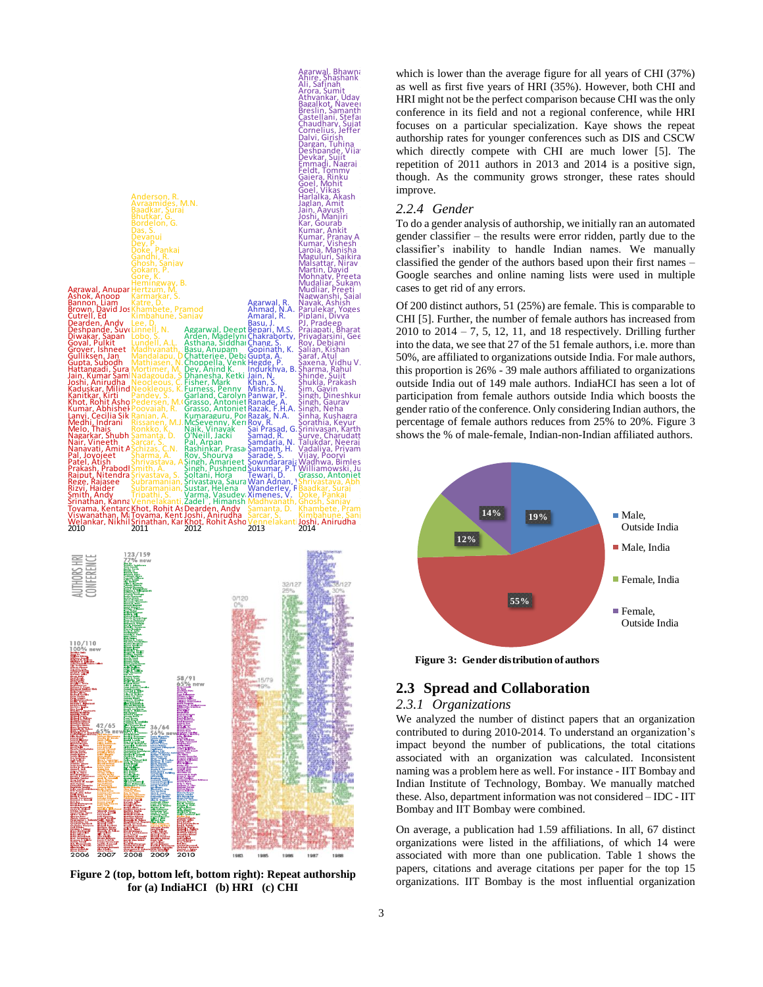

which is lower than the average figure for all years of CHI (37%) as well as first five years of HRI (35%). However, both CHI and HRI might not be the perfect comparison because CHI was the only conference in its field and not a regional conference, while HRI focuses on a particular specialization. Kaye shows the repeat authorship rates for younger conferences such as DIS and CSCW which directly compete with CHI are much lower [5]. The repetition of 2011 authors in 2013 and 2014 is a positive sign, though. As the community grows stronger, these rates should improve.

## *2.2.4 Gender*

To do a gender analysis of authorship, we initially ran an automated gender classifier – the results were error ridden, partly due to the classifier's inability to handle Indian names. We manually classified the gender of the authors based upon their first names – Google searches and online naming lists were used in multiple cases to get rid of any errors.

Of 200 distinct authors, 51 (25%) are female. This is comparable to CHI [5]. Further, the number of female authors has increased from  $2010$  to  $2014 - 7$ , 5, 12, 11, and 18 respectively. Drilling further into the data, we see that 27 of the 51 female authors, i.e. more than 50%, are affiliated to organizations outside India. For male authors, this proportion is 26% - 39 male authors affiliated to organizations outside India out of 149 male authors. IndiaHCI has seen a lot of participation from female authors outside India which boosts the gender ratio of the conference. Only considering Indian authors, the percentage of female authors reduces from 25% to 20%. Figure 3 shows the % of male-female, Indian-non-Indian affiliated authors.



**Figure 3: Gender distribution of authors** 

## **2.3 Spread and Collaboration**

## *2.3.1 Organizations*

We analyzed the number of distinct papers that an organization contributed to during 2010-2014. To understand an organization's impact beyond the number of publications, the total citations associated with an organization was calculated. Inconsistent naming was a problem here as well. For instance - IIT Bombay and Indian Institute of Technology, Bombay. We manually matched these. Also, department information was not considered – IDC - IIT Bombay and IIT Bombay were combined.

On average, a publication had 1.59 affiliations. In all, 67 distinct organizations were listed in the affiliations, of which 14 were associated with more than one publication. Table 1 shows the papers, citations and average citations per paper for the top 15 organizations. IIT Bombay is the most influential organization

**Figure 2 (top, bottom left, bottom right): Repeat authorship for (a) IndiaHCI (b) HRI (c) CHI**

ĥ. €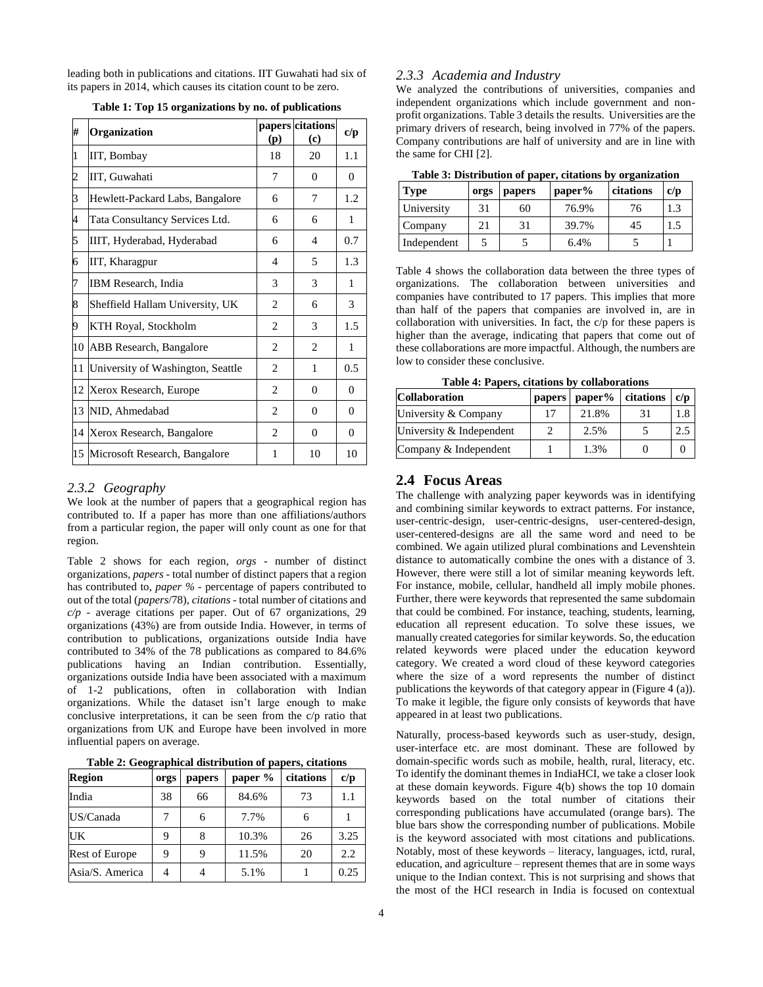leading both in publications and citations. IIT Guwahati had six of its papers in 2014, which causes its citation count to be zero.

| #  | Organization                      | (p)            | papers citations<br>(c) | c/p      |
|----|-----------------------------------|----------------|-------------------------|----------|
| 1  | IIT, Bombay                       | 18             | 20                      | 1.1      |
| 2  | IIT, Guwahati                     | 7              | $\Omega$                | $\Omega$ |
| 3  | Hewlett-Packard Labs, Bangalore   | 6              | 7                       | 1.2      |
| 4  | Tata Consultancy Services Ltd.    | 6              | 6                       | 1        |
| 5  | IIIT, Hyderabad, Hyderabad        | 6              | $\overline{4}$          | 0.7      |
| 6  | IIT, Kharagpur                    | $\overline{4}$ | 5                       | 1.3      |
| 7  | <b>IBM</b> Research, India        | 3              | 3                       | 1        |
| 8  | Sheffield Hallam University, UK   | $\overline{c}$ | 6                       | 3        |
| 9  | KTH Royal, Stockholm              | $\overline{c}$ | 3                       | 1.5      |
| 10 | ABB Research, Bangalore           | $\overline{c}$ | $\overline{c}$          | 1        |
| 11 | University of Washington, Seattle | $\overline{c}$ | 1                       | 0.5      |
| 12 | Xerox Research, Europe            | $\overline{c}$ | $\Omega$                | $\Omega$ |
| 13 | NID, Ahmedabad                    | $\overline{2}$ | $\Omega$                | $\Omega$ |
| 14 | Xerox Research, Bangalore         | $\overline{c}$ | $\Omega$                | 0        |
|    | 15 Microsoft Research, Bangalore  | 1              | 10                      | 10       |

**Table 1: Top 15 organizations by no. of publications**

### *2.3.2 Geography*

We look at the number of papers that a geographical region has contributed to. If a paper has more than one affiliations/authors from a particular region, the paper will only count as one for that region.

Table 2 shows for each region, *orgs* - number of distinct organizations, *papers* - total number of distinct papers that a region has contributed to, *paper %* - percentage of papers contributed to out of the total (*papers*/78), *citations* - total number of citations and *c/p* - average citations per paper. Out of 67 organizations, 29 organizations (43%) are from outside India. However, in terms of contribution to publications, organizations outside India have contributed to 34% of the 78 publications as compared to 84.6% publications having an Indian contribution. Essentially, organizations outside India have been associated with a maximum of 1-2 publications, often in collaboration with Indian organizations. While the dataset isn't large enough to make conclusive interpretations, it can be seen from the c/p ratio that organizations from UK and Europe have been involved in more influential papers on average.

| Table 2: Geographical distribution of papers, citations |  |
|---------------------------------------------------------|--|
|---------------------------------------------------------|--|

| <b>Region</b>         | orgs | papers | paper % | citations | c/p  |
|-----------------------|------|--------|---------|-----------|------|
| India                 | 38   | 66     | 84.6%   | 73        | 1.1  |
| US/Canada             |      | 6      | 7.7%    | 6         |      |
| UK                    | 9    | 8      | 10.3%   | 26        | 3.25 |
| <b>Rest of Europe</b> | 9    | 9      | 11.5%   | 20        | 2.2  |
| Asia/S. America       |      |        | 5.1%    |           | 0.25 |

#### *2.3.3 Academia and Industry*

We analyzed the contributions of universities, companies and independent organizations which include government and nonprofit organizations. Table 3 details the results. Universities are the primary drivers of research, being involved in 77% of the papers. Company contributions are half of university and are in line with the same for CHI [2].

**Table 3: Distribution of paper, citations by organization** 

| <b>Type</b> | orgs | papers | paper% | citations | c/p |
|-------------|------|--------|--------|-----------|-----|
| University  | 31   | 60     | 76.9%  | 76        | 1.3 |
| Company     | 21   | 31     | 39.7%  | 45        | L.  |
| Independent |      |        | 6.4%   |           |     |

Table 4 shows the collaboration data between the three types of organizations. The collaboration between universities and companies have contributed to 17 papers. This implies that more than half of the papers that companies are involved in, are in collaboration with universities. In fact, the c/p for these papers is higher than the average, indicating that papers that come out of these collaborations are more impactful. Although, the numbers are low to consider these conclusive.

**Table 4: Papers, citations by collaborations**

| <b>Collaboration</b>     | papers | $paper\%$ | citations | c/p |
|--------------------------|--------|-----------|-----------|-----|
| University & Company     |        | 21.8%     | 31        |     |
| University & Independent |        | 2.5%      |           | 2.5 |
| Company & Independent    |        | 1.3%      |           |     |

## **2.4 Focus Areas**

The challenge with analyzing paper keywords was in identifying and combining similar keywords to extract patterns. For instance, user-centric-design, user-centric-designs, user-centered-design, user-centered-designs are all the same word and need to be combined. We again utilized plural combinations and Levenshtein distance to automatically combine the ones with a distance of 3. However, there were still a lot of similar meaning keywords left. For instance, mobile, cellular, handheld all imply mobile phones. Further, there were keywords that represented the same subdomain that could be combined. For instance, teaching, students, learning, education all represent education. To solve these issues, we manually created categories for similar keywords. So, the education related keywords were placed under the education keyword category. We created a word cloud of these keyword categories where the size of a word represents the number of distinct publications the keywords of that category appear in (Figure 4 (a)). To make it legible, the figure only consists of keywords that have appeared in at least two publications.

Naturally, process-based keywords such as user-study, design, user-interface etc. are most dominant. These are followed by domain-specific words such as mobile, health, rural, literacy, etc. To identify the dominant themes in IndiaHCI, we take a closer look at these domain keywords. Figure 4(b) shows the top 10 domain keywords based on the total number of citations their corresponding publications have accumulated (orange bars). The blue bars show the corresponding number of publications. Mobile is the keyword associated with most citations and publications. Notably, most of these keywords – literacy, languages, ictd, rural, education, and agriculture – represent themes that are in some ways unique to the Indian context. This is not surprising and shows that the most of the HCI research in India is focused on contextual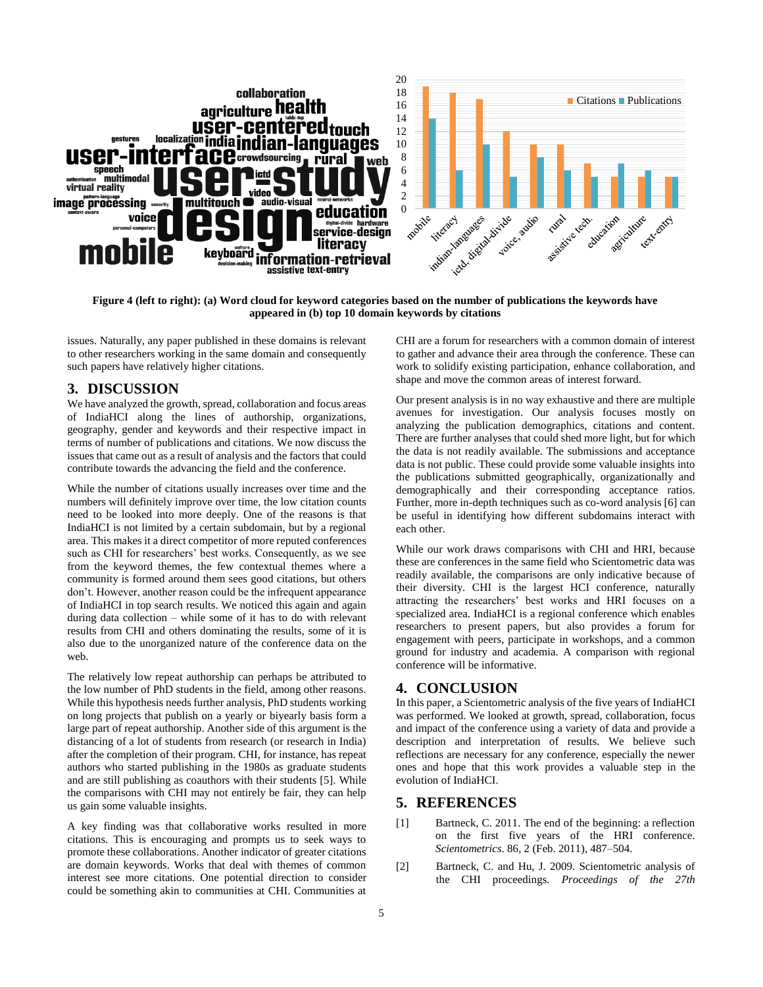

**Figure 4 (left to right): (a) Word cloud for keyword categories based on the number of publications the keywords have appeared in (b) top 10 domain keywords by citations**

issues. Naturally, any paper published in these domains is relevant to other researchers working in the same domain and consequently such papers have relatively higher citations.

## **3. DISCUSSION**

We have analyzed the growth, spread, collaboration and focus areas of IndiaHCI along the lines of authorship, organizations, geography, gender and keywords and their respective impact in terms of number of publications and citations. We now discuss the issues that came out as a result of analysis and the factors that could contribute towards the advancing the field and the conference.

While the number of citations usually increases over time and the numbers will definitely improve over time, the low citation counts need to be looked into more deeply. One of the reasons is that IndiaHCI is not limited by a certain subdomain, but by a regional area. This makes it a direct competitor of more reputed conferences such as CHI for researchers' best works. Consequently, as we see from the keyword themes, the few contextual themes where a community is formed around them sees good citations, but others don't. However, another reason could be the infrequent appearance of IndiaHCI in top search results. We noticed this again and again during data collection – while some of it has to do with relevant results from CHI and others dominating the results, some of it is also due to the unorganized nature of the conference data on the web.

The relatively low repeat authorship can perhaps be attributed to the low number of PhD students in the field, among other reasons. While this hypothesis needs further analysis, PhD students working on long projects that publish on a yearly or biyearly basis form a large part of repeat authorship. Another side of this argument is the distancing of a lot of students from research (or research in India) after the completion of their program. CHI, for instance, has repeat authors who started publishing in the 1980s as graduate students and are still publishing as coauthors with their students [5]. While the comparisons with CHI may not entirely be fair, they can help us gain some valuable insights.

A key finding was that collaborative works resulted in more citations. This is encouraging and prompts us to seek ways to promote these collaborations. Another indicator of greater citations are domain keywords. Works that deal with themes of common interest see more citations. One potential direction to consider could be something akin to communities at CHI. Communities at

CHI are a forum for researchers with a common domain of interest to gather and advance their area through the conference. These can work to solidify existing participation, enhance collaboration, and shape and move the common areas of interest forward.

Our present analysis is in no way exhaustive and there are multiple avenues for investigation. Our analysis focuses mostly on analyzing the publication demographics, citations and content. There are further analyses that could shed more light, but for which the data is not readily available. The submissions and acceptance data is not public. These could provide some valuable insights into the publications submitted geographically, organizationally and demographically and their corresponding acceptance ratios. Further, more in-depth techniques such as co-word analysis [6] can be useful in identifying how different subdomains interact with each other.

While our work draws comparisons with CHI and HRI, because these are conferences in the same field who Scientometric data was readily available, the comparisons are only indicative because of their diversity. CHI is the largest HCI conference, naturally attracting the researchers' best works and HRI focuses on a specialized area. IndiaHCI is a regional conference which enables researchers to present papers, but also provides a forum for engagement with peers, participate in workshops, and a common ground for industry and academia. A comparison with regional conference will be informative.

## **4. CONCLUSION**

In this paper, a Scientometric analysis of the five years of IndiaHCI was performed. We looked at growth, spread, collaboration, focus and impact of the conference using a variety of data and provide a description and interpretation of results. We believe such reflections are necessary for any conference, especially the newer ones and hope that this work provides a valuable step in the evolution of IndiaHCI.

## **5. REFERENCES**

- [1] Bartneck, C. 2011. The end of the beginning: a reflection on the first five years of the HRI conference. *Scientometrics*. 86, 2 (Feb. 2011), 487–504.
- [2] Bartneck, C. and Hu, J. 2009. Scientometric analysis of the CHI proceedings. *Proceedings of the 27th*